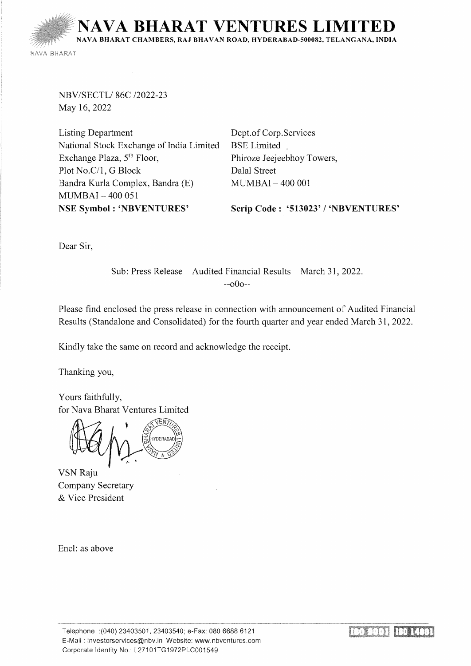**IA BHARAT VENTURES LIN** NAVA BHARAT CHAMBERS, RAJ BHAVAN ROAD, HYDERABAD-500082, TELANGANA, INDIA

NAVA BHARAT

NBV/SECTL/ 86C /2022-23 May 16,2022

Listing Department National Stock Exchange of India Limited Exchange Plaza, 5th Floor, Plot No.C/1, G Block Bandra Kurla Complex, Bandra (E) MUMBAI - 400 051 NSE Symbol : 'NBVENTURES'

Dept. of Corp.Services BSE Limited Phiroze Jeejeebhoy Towers, Dalal Street MUMBAI- 400 001

Scrip Code : '513023' / 'NBVENTURES'

Dear Sir,

Sub: Press Release- Audited Financial Results- March 31, 2022. --oOo--

Please find enclosed the press release in connection with announcement of Audited Financial Results (Standalone and Consolidated) for the fourth quarter and year ended March 31, 2022.

Kindly take the same on record and acknowledge the receipt.

Thanking you,

Yours faithfully, for Nava Bharat Ventures Limited

WDERARA

VSN Raju Company Secretary & Vice President

Encl: as above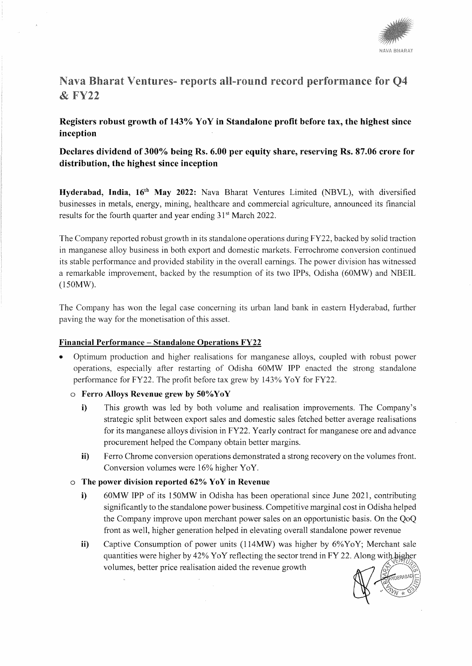

# Nava Bharat Ventures- reports all-round record performance for O4 &FY22

# **Registers robust growth of 143°/o Yo Y in Standalone profit before tax, the highest since inception**

# **Declares dividend of 300°/o being Rs. 6.00 per equity share, reserving Rs. 87.06 crore for distribution, the highest since inception**

Hyderabad, India, 16<sup>th</sup> May 2022: Nava Bharat Ventures Limited (NBVL), with diversified businesses in metals, energy, mining, healthcare and commercial agriculture, announced its financial results for the fourth quarter and year ending 31<sup>st</sup> March 2022.

The Company reported robust growth in its standalone operations during FY22, backed by solid traction in manganese alloy business in both export and domestic markets. Ferrochrome conversion continued its stable performance and provided stability in the overall earnings. The power division has witnessed a remarkable improvement, backed by the resumption of its two IPPs, Odisha (60MW) and NBEIL (150MW).

The Company has won the legal case concerning its urban land bank in eastern Hyderabad, further paving the way for the monetisation of this asset.

#### **Financial Performance - Standalone Operations FY22**

- Optimum production and higher realisations for manganese alloys, coupled with robust power operations, especially after restarting of Odisha 60MW IPP enacted the strong standalone performance for FY22. The profit before tax grew by 143% YoY for FY22.
	- o **Ferro Alloys Revenue grew by 50°/oYoY** 
		- **i)** This growth was led by both volume and realisation improvements. The Company's strategic split between export sales and domestic sales fetched better average realisations for its manganese alloys division in FY22. Yearly contract for manganese ore and advance procurement helped the Company obtain better margins.
		- **ii)** Ferro Chrome conversion operations demonstrated a strong recovery on the volumes front. Conversion volumes were 16% higher YoY.
	- o **The power division reported 62%) YoY in Revenue** 
		- **i)** 60MW **IPP** of its 150MW in Odisha has been operational since June 2021, contributing significantly to the standalone power business. Competitive marginal cost in Odisha helped the Company improve upon merchant power sales on an opportunistic basis. On the QoQ front as well, higher generation helped in elevating overall standalone power revenue
		- **ii)** Captive Consumption of power units (114MW) was higher by 6%YoY; Merchant sale quantities were higher by  $42\%$  Yo Y reflecting the sector trend in FY 22. Along with higher volumes, better price realisation aided the revenue growth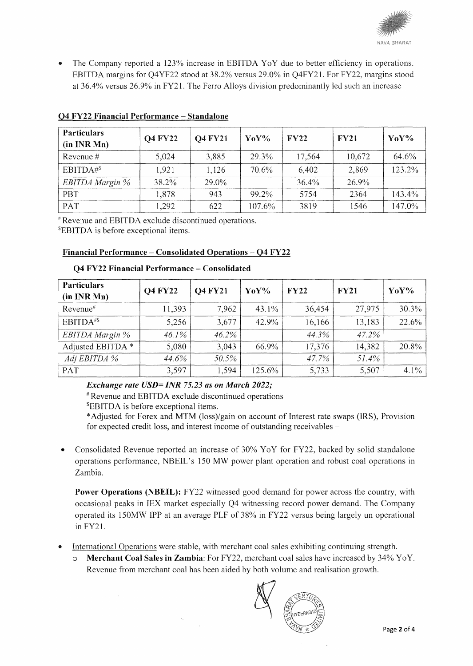

The Company reported a 123% increase in EBITDA YoY due to better efficiency in operations. EBITDA margins for Q4YF22 stood at 38.2%) versus 29.0% in Q4FY21. For FY22, margins stood at 36.4°/o versus 26.9% in FY21. The Ferro Alloys division predominantly led such an increase

| <b>Particulars</b><br>(in INR Mn) | <b>Q4 FY22</b> | <b>Q4 FY21</b> | $\gamma_0 \gamma_0$ | FY22     | <b>FY21</b> | $\gamma_0 \gamma_0$ |
|-----------------------------------|----------------|----------------|---------------------|----------|-------------|---------------------|
| Revenue $#$                       | 5,024          | 3,885          | 29.3%               | 17,564   | 10,672      | 64.6%               |
| EBITDA# <sup>S</sup>              | 1,921          | 1,126          | 70.6%               | 6,402    | 2,869       | 123.2%              |
| EBITDA Margin %                   | 38.2%          | 29.0%          |                     | $36.4\%$ | 26.9%       |                     |
| PBT                               | 1,878          | 943            | 99.2%               | 5754     | 2364        | 143.4%              |
| PAT                               | 1,292          | 622            | 107.6%              | 3819     | 1546        | 147.0%              |

## 04 FY22 Financial Performance - Standalone

'"Revenue and EBITDA exclude discontinued operations.

5 EBITDA is before exceptional items.

# Financial Performance - Consolidated Operations - 04 FY22

| <b>Particulars</b><br>(in INR Mn) | <b>Q4 FY22</b> | <b>Q4 FY21</b> | YoY%     | <b>FY22</b> | <b>FY21</b> | YoY%     |
|-----------------------------------|----------------|----------------|----------|-------------|-------------|----------|
| $Revenue$ <sup>#</sup>            | 11,393         | 7,962          | $43.1\%$ | 36,454      | 27,975      | $30.3\%$ |
| EBITDA <sup>#\$</sup>             | 5,256          | 3,677          | $42.9\%$ | 16,166      | 13,183      | 22.6%    |
| EBITDA Margin %                   | 46.1%          | 46.2%          |          | 44.3%       | 47.2%       |          |
| Adjusted EBITDA *                 | 5,080          | 3,043          | 66.9%    | 17,376      | 14,382      | 20.8%    |
| Adj EBITDA %                      | 44.6%          | 50.5%          |          | 47.7%       | 51.4%       |          |
| PAT                               | 3,597          | 1,594          | 125.6%   | 5,733       | 5,507       | $4.1\%$  |

#### Q4 FY22 Financial Performance - Consolidated

*Exchange rate USD= INR 75.23 as on March 2022;* 

#Revenue and EBITDA exclude discontinued operations

5EBITDA is before exceptional items.

\*Adjusted for Forex and MTM (loss)/gain on account of Interest rate swaps (IRS), Provision for expected credit loss, and interest income of outstanding receivables -

• Consolidated Revenue reported an increase of 30% YoY for FY22, backed by solid standalone operations performance, NBEIL's 150 MW power plant operation and robust coal operations in Zambia.

Power Operations (NBEIL): FY22 witnessed good demand for power across the country, with occasional peaks in lEX market especially Q4 witnessing record power demand. The Company operated its 150MW IPP at an average PLF of 38°/o in FY22 versus being largely un operational in FY21.

- International Operations were stable, with merchant coal sales exhibiting continuing strength.
	- Merchant Coal Sales in Zambia: For FY22, merchant coal sales have increased by 34% YoY. Revenue from merchant coal has been aided by both volume and realisation growth.

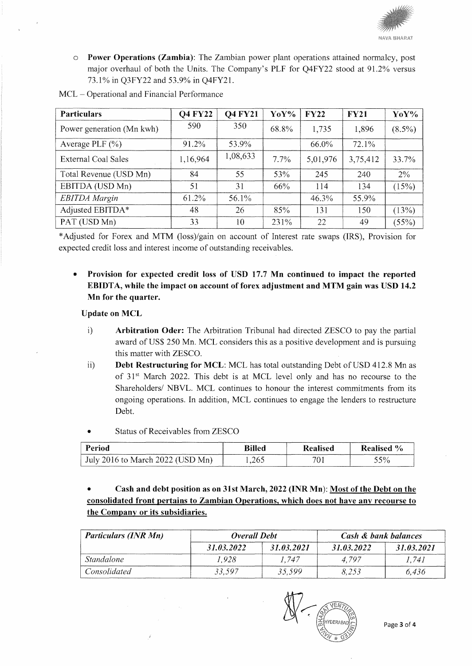

o Power Operations (Zambia): The Zambian power plant operations attained normalcy, post major overhaul of both the Units. The Company's PLF for Q4FY22 stood at 91.2% versus 73.1% in Q3FY22 and 53.9% in Q4FY21.

| <b>Particulars</b>        | <b>Q4 FY22</b> | <b>Q4 FY21</b> | YoY%  | <b>FY22</b> | <b>FY21</b> | YoY%      |
|---------------------------|----------------|----------------|-------|-------------|-------------|-----------|
| Power generation (Mn kwh) | 590            | 350            | 68.8% | 1,735       | 1,896       | $(8.5\%)$ |
| Average PLF $(\% )$       | 91.2%          | 53.9%          |       | 66.0%       | 72.1%       |           |
| External Coal Sales       | 1,16,964       | 1,08,633       | 7.7%  | 5,01,976    | 3,75,412    | 33.7%     |
| Total Revenue (USD Mn)    | 84             | 55             | 53%   | 245         | 240         | $2\%$     |
| EBITDA (USD Mn)           | 51             | 31             | 66%   | 114         | 134         | (15%)     |
| <b>EBITDA</b> Margin      | 61.2%          | 56.1%          |       | 46.3%       | 55.9%       |           |
| Adjusted EBITDA*          | 48             | 26             | 85%   | 131         | 150         | (13%)     |
| PAT (USD Mn)              | 33             | 10             | 231%  | 22          | 49          | (55%)     |

MCL- Operational and Financial Performance

\*Adjusted for Forex and MTM (loss)/gain on account of Interest rate swaps (IRS), Provision for expected credit loss and interest income of outstanding receivables.

• Provision for expected credit loss of USD 17.7 Mn continued to impact the reported EBIDTA, while the impact on account of forex adjustment and MTM gain was USD 14.2 Mn for the quarter.

#### Update on MCL

- i) Arbitration Oder: The Arbitration Tribunal had directed ZESCO to pay the partial award of US\$ 250 Mn. MCL considers this as a positive development and is pursuing this matter with ZESCO.
- ii) Debt Restructuring for MCL: MCL has total outstanding Debt of USD 412.8 Mn as of  $31<sup>st</sup>$  March 2022. This debt is at MCL level only and has no recourse to the Shareholders/ NBVL. MCL continues to honour the interest commitments from its ongoing operations. In addition, MCL continues to engage the lenders to restructure Debt.
- Status of Receivables from ZESCO

| ________<br>------------<br>erıod<br>---------------<br>-------------------<br>--------- | ----------<br><b>Billed</b> | <b>lealised</b>  | Realised                                                      |
|------------------------------------------------------------------------------------------|-----------------------------|------------------|---------------------------------------------------------------|
| July :<br>- Maren Z<br>.<br>Mn.<br>ŤΩ.<br>____                                           | ን65<br>ت∪ ب∡يل              | - 1<br>--------- | 50/<br>/ U<br>ັ<br><b>THE R. P. LEWIS CO., LANSING, MICH.</b> |

• Cash and debt position as on 31st March, 2022 (INR Mn): Most of the Debt on the consolidated front pertains to Zambian Operations, which does not have any recourse to the Companv or its subsidiaries.

| <b>Particulars (INR Mn)</b> | <b>Overall Debt</b> |            | Cash & bank balances |            |  |
|-----------------------------|---------------------|------------|----------------------|------------|--|
|                             | 31.03.2022          | 31.03.2021 | 31.03.2022           | 31.03.2021 |  |
| <i>Standalone</i>           | 1.928               | 1.747      | 4.797                | 1.741      |  |
| Consolidated                | 33.597              | 35.599     | 8.253                | 6.436      |  |